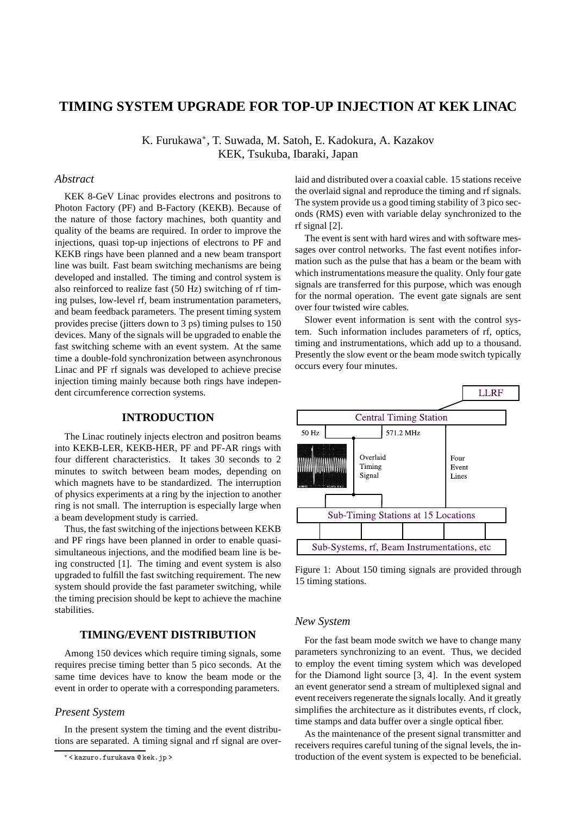# **TIMING SYSTEM UPGRADE FOR TOP-UP INJECTION AT KEK LINAC**

K. Furukawa\*, T. Suwada, M. Satoh, E. Kadokura, A. Kazakov KEK, Tsukuba, Ibaraki, Japan

## *Abstract*

KEK 8-GeV Linac provides electrons and positrons to Photon Factory (PF) and B-Factory (KEKB). Because of the nature of those factory machines, both quantity and quality of the beams are required. In order to improve the injections, quasi top-up injections of electrons to PF and KEKB rings have been planned and a new beam transport line was built. Fast beam switching mechanisms are being developed and installed. The timing and control system is also reinforced to realize fast (50 Hz) switching of rf timing pulses, low-level rf, beam instrumentation parameters, and beam feedback parameters. The present timing system provides precise (jitters down to 3 ps) timing pulses to 150 devices. Many of the signals will be upgraded to enable the fast switching scheme with an event system. At the same time a double-fold synchronization between asynchronous Linac and PF rf signals was developed to achieve precise injection timing mainly because both rings have independent circumference correction systems.

### **INTRODUCTION**

The Linac routinely injects electron and positron beams into KEKB-LER, KEKB-HER, PF and PF-AR rings with four different characteristics. It takes 30 seconds to 2 minutes to switch between beam modes, depending on which magnets have to be standardized. The interruption of physics experiments at a ring by the injection to another ring is not small. The interruption is especially large when a beam development study is carried.

Thus, the fast switching of the injections between KEKB and PF rings have been planned in order to enable quasisimultaneous injections, and the modified beam line is being constructed [1]. The timing and event system is also upgraded to fulfill the fast switching requirement. The new system should provide the fast parameter switching, while the timing precision should be kept to achieve the machine stabilities.

## **TIMING/EVENT DISTRIBUTION**

Among 150 devices which require timing signals, some requires precise timing better than 5 pico seconds. At the same time devices have to know the beam mode or the event in order to operate with a corresponding parameters.

## *Present System*

In the present system the timing and the event distributions are separated. A timing signal and rf signal are overlaid and distributed over a coaxial cable. 15 stations receive the overlaid signal and reproduce the timing and rf signals. The system provide us a good timing stability of 3 pico seconds (RMS) even with variable delay synchronized to the rf signal [2].

The event is sent with hard wires and with software messages over control networks. The fast event notifies information such as the pulse that has a beam or the beam with which instrumentations measure the quality. Only four gate signals are transferred for this purpose, which was enough for the normal operation. The event gate signals are sent over four twisted wire cables.

Slower event information is sent with the control system. Such information includes parameters of rf, optics, timing and instrumentations, which add up to a thousand. Presently the slow event or the beam mode switch typically occurs every four minutes.



Figure 1: About 150 timing signals are provided through 15 timing stations.

#### *New System*

For the fast beam mode switch we have to change many parameters synchronizing to an event. Thus, we decided to employ the event timing system which was developed for the Diamond light source [3, 4]. In the event system an event generator send a stream of multiplexed signal and event receivers regenerate the signals locally. And it greatly simplifies the architecture as it distributes events, rf clock, time stamps and data buffer over a single optical fiber.

As the maintenance of the present signal transmitter and receivers requires careful tuning of the signal levels, the introduction of the event system is expected to be beneficial.

<sup>∗</sup> < kazuro.furukawa @ kek.jp >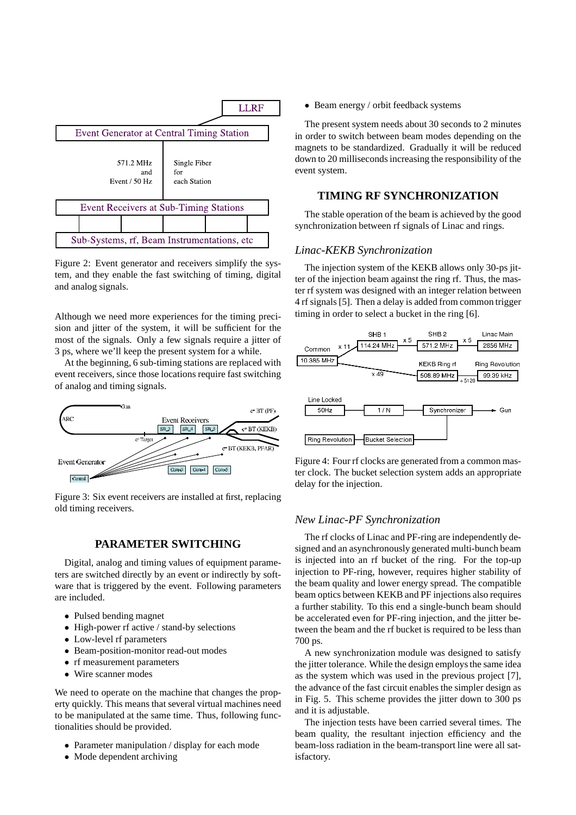

Figure 2: Event generator and receivers simplify the system, and they enable the fast switching of timing, digital and analog signals.

Although we need more experiences for the timing precision and jitter of the system, it will be sufficient for the most of the signals. Only a few signals require a jitter of 3 ps, where we'll keep the present system for a while.

At the beginning, 6 sub-timing stations are replaced with event receivers, since those locations require fast switching of analog and timing signals.



Figure 3: Six event receivers are installed at first, replacing old timing receivers.

## **PARAMETER SWITCHING**

Digital, analog and timing values of equipment parameters are switched directly by an event or indirectly by software that is triggered by the event. Following parameters are included.

- Pulsed bending magnet
- High-power rf active / stand-by selections
- Low-level rf parameters
- Beam-position-monitor read-out modes
- rf measurement parameters<br>• Wire scanner modes
- Wire scanner modes

We need to operate on the machine that changes the property quickly. This means that several virtual machines need to be manipulated at the same time. Thus, following functionalities should be provided.

- Parameter manipulation / display for each mode
- Mode dependent archiving

• Beam energy / orbit feedback systems

The present system needs about 30 seconds to 2 minutes in order to switch between beam modes depending on the magnets to be standardized. Gradually it will be reduced down to 20 millisecondsincreasing the responsibility of the event system.

## **TIMING RF SYNCHRONIZATION**

The stable operation of the beam is achieved by the good synchronization between rf signals of Linac and rings.

## *Linac-KEKB Synchronization*

The injection system of the KEKB allows only 30-ps jitter of the injection beam against the ring rf. Thus, the master rf system was designed with an integer relation between 4 rf signals [5]. Then a delay is added from common trigger timing in order to select a bucket in the ring [6].



Figure 4: Four rf clocks are generated from a common master clock. The bucket selection system adds an appropriate delay for the injection.

## *New Linac-PF Synchronization*

The rf clocks of Linac and PF-ring are independently designed and an asynchronously generated multi-bunch beam is injected into an rf bucket of the ring. For the top-up injection to PF-ring, however, requires higher stability of the beam quality and lower energy spread. The compatible beam optics between KEKB and PF injections also requires a further stability. To this end a single-bunch beam should be accelerated even for PF-ring injection, and the jitter between the beam and the rf bucket is required to be less than 700 ps.

A new synchronization module was designed to satisfy the jitter tolerance. While the design employs the same idea as the system which was used in the previous project [7], the advance of the fast circuit enables the simpler design as in Fig. 5. This scheme provides the jitter down to 300 ps and it is adjustable.

The injection tests have been carried several times. The beam quality, the resultant injection efficiency and the beam-loss radiation in the beam-transport line were all satisfactory.